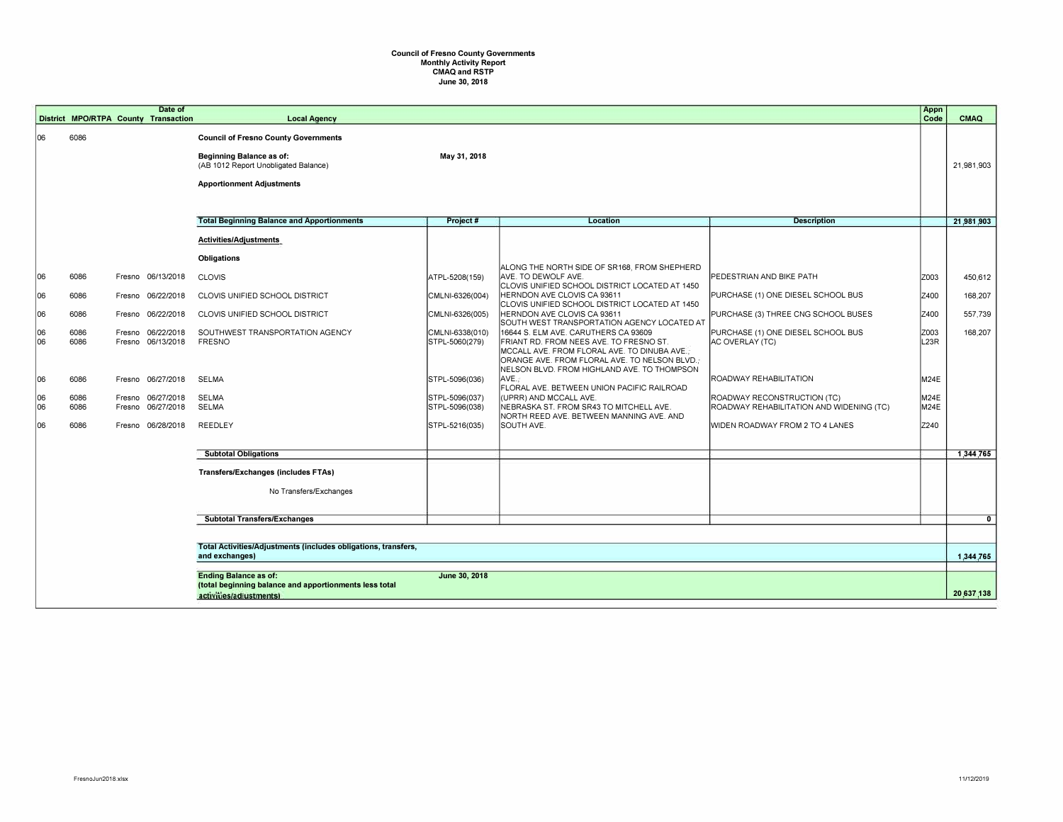## **Council of Fresno County Governments Monthly Activity Report CMAQ and RSTP June 30, 2018**

|          |                                                                                                                                                                                                                        | Date of                                      |                                                                                                                                                     |                                   |                                                                                                                                                                                  |                                                                         | Appn                      |             |
|----------|------------------------------------------------------------------------------------------------------------------------------------------------------------------------------------------------------------------------|----------------------------------------------|-----------------------------------------------------------------------------------------------------------------------------------------------------|-----------------------------------|----------------------------------------------------------------------------------------------------------------------------------------------------------------------------------|-------------------------------------------------------------------------|---------------------------|-------------|
|          |                                                                                                                                                                                                                        | District MPO/RTPA County Transaction         | <b>Local Agency</b>                                                                                                                                 |                                   |                                                                                                                                                                                  |                                                                         | Code                      | <b>CMAQ</b> |
| 106      | 6086                                                                                                                                                                                                                   |                                              | <b>Council of Fresno County Governments</b><br>Beginning Balance as of:<br>(AB 1012 Report Unobligated Balance)<br><b>Apportionment Adjustments</b> | May 31, 2018                      |                                                                                                                                                                                  |                                                                         |                           | 21,981,903  |
|          |                                                                                                                                                                                                                        |                                              |                                                                                                                                                     |                                   |                                                                                                                                                                                  |                                                                         |                           |             |
|          |                                                                                                                                                                                                                        |                                              | <b>Total Beginning Balance and Apportionments</b>                                                                                                   | Project #                         | Location                                                                                                                                                                         | <b>Description</b>                                                      |                           | 21,981,903  |
|          |                                                                                                                                                                                                                        |                                              | Activities/Adjustments                                                                                                                              |                                   |                                                                                                                                                                                  |                                                                         |                           |             |
|          |                                                                                                                                                                                                                        |                                              | <b>Obligations</b>                                                                                                                                  |                                   | ALONG THE NORTH SIDE OF SR168, FROM SHEPHERD                                                                                                                                     |                                                                         |                           |             |
| 06       | 6086                                                                                                                                                                                                                   | Fresno 06/13/2018                            | <b>CLOVIS</b>                                                                                                                                       | ATPL-5208(159)                    | AVE. TO DEWOLF AVE.<br>CLOVIS UNIFIED SCHOOL DISTRICT LOCATED AT 1450                                                                                                            | PEDESTRIAN AND BIKE PATH                                                | Z003                      | 450,612     |
| 06       | 6086                                                                                                                                                                                                                   | 06/22/2018<br>Fresno                         | CLOVIS UNIFIED SCHOOL DISTRICT                                                                                                                      | CMLNI-6326(004)                   | HERNDON AVE CLOVIS CA 93611<br>CLOVIS UNIFIED SCHOOL DISTRICT LOCATED AT 1450                                                                                                    | PURCHASE (1) ONE DIESEL SCHOOL BUS                                      | Z400                      | 168,207     |
| 06       | 6086                                                                                                                                                                                                                   | 06/22/2018<br>Fresno                         | CLOVIS UNIFIED SCHOOL DISTRICT                                                                                                                      | CMLNI-6326(005)                   | HERNDON AVE CLOVIS CA 93611<br>SOUTH WEST TRANSPORTATION AGENCY LOCATED AT                                                                                                       | PURCHASE (3) THREE CNG SCHOOL BUSES                                     | Z400                      | 557,739     |
| 06<br>06 | 6086<br>6086                                                                                                                                                                                                           | 06/22/2018<br>Fresno<br>06/13/2018<br>Fresno | SOUTHWEST TRANSPORTATION AGENCY<br><b>FRESNO</b>                                                                                                    | CMLNI-6338(010)<br>STPL-5060(279) | 16644 S. ELM AVE. CARUTHERS CA 93609<br>FRIANT RD. FROM NEES AVE. TO FRESNO ST.<br>MCCALL AVE. FROM FLORAL AVE. TO DINUBA AVE.;<br>ORANGE AVE. FROM FLORAL AVE. TO NELSON BLVD.; | PURCHASE (1) ONE DIESEL SCHOOL BUS<br>AC OVERLAY (TC)                   | Z003<br>L <sub>23</sub> R | 168.207     |
| 106      | 6086                                                                                                                                                                                                                   | Fresno 06/27/2018                            | <b>SELMA</b>                                                                                                                                        | STPL-5096(036)                    | NELSON BLVD. FROM HIGHLAND AVE. TO THOMPSON<br>AVE.<br>FLORAL AVE. BETWEEN UNION PACIFIC RAILROAD                                                                                | ROADWAY REHABILITATION                                                  | M24E                      |             |
| 06<br>06 | 6086<br>6086                                                                                                                                                                                                           | 06/27/2018<br>Fresno<br>06/27/2018<br>Fresno | <b>SELMA</b><br><b>SELMA</b>                                                                                                                        | STPL-5096(037)<br>STPL-5096(038)  | (UPRR) AND MCCALL AVE.<br>NEBRASKA ST. FROM SR43 TO MITCHELL AVE.<br>NORTH REED AVE. BETWEEN MANNING AVE. AND                                                                    | ROADWAY RECONSTRUCTION (TC)<br>ROADWAY REHABILITATION AND WIDENING (TC) | M24E<br>M24E              |             |
| 06       | 6086                                                                                                                                                                                                                   | Fresno 06/28/2018                            | REEDLEY                                                                                                                                             | STPL-5216(035)                    | SOUTH AVE.                                                                                                                                                                       | WIDEN ROADWAY FROM 2 TO 4 LANES                                         | Z240                      |             |
|          |                                                                                                                                                                                                                        |                                              | <b>Subtotal Obligations</b>                                                                                                                         |                                   |                                                                                                                                                                                  |                                                                         |                           | 1,344,765   |
|          |                                                                                                                                                                                                                        |                                              | <b>Transfers/Exchanges (includes FTAs)</b>                                                                                                          |                                   |                                                                                                                                                                                  |                                                                         |                           |             |
|          |                                                                                                                                                                                                                        |                                              | No Transfers/Exchanges                                                                                                                              |                                   |                                                                                                                                                                                  |                                                                         |                           |             |
|          |                                                                                                                                                                                                                        |                                              | <b>Subtotal Transfers/Exchanges</b>                                                                                                                 |                                   |                                                                                                                                                                                  |                                                                         |                           | 0           |
|          | Total Activities/Adjustments (includes obligations, transfers,<br>and exchanges)<br>June 30, 2018<br><b>Ending Balance as of:</b><br>(total beginning balance and apportionments less total<br>activities/adiustments) |                                              |                                                                                                                                                     |                                   |                                                                                                                                                                                  |                                                                         |                           |             |
|          |                                                                                                                                                                                                                        |                                              |                                                                                                                                                     |                                   |                                                                                                                                                                                  |                                                                         |                           | 1,344,765   |
|          |                                                                                                                                                                                                                        |                                              |                                                                                                                                                     |                                   |                                                                                                                                                                                  |                                                                         |                           | 20,637,138  |